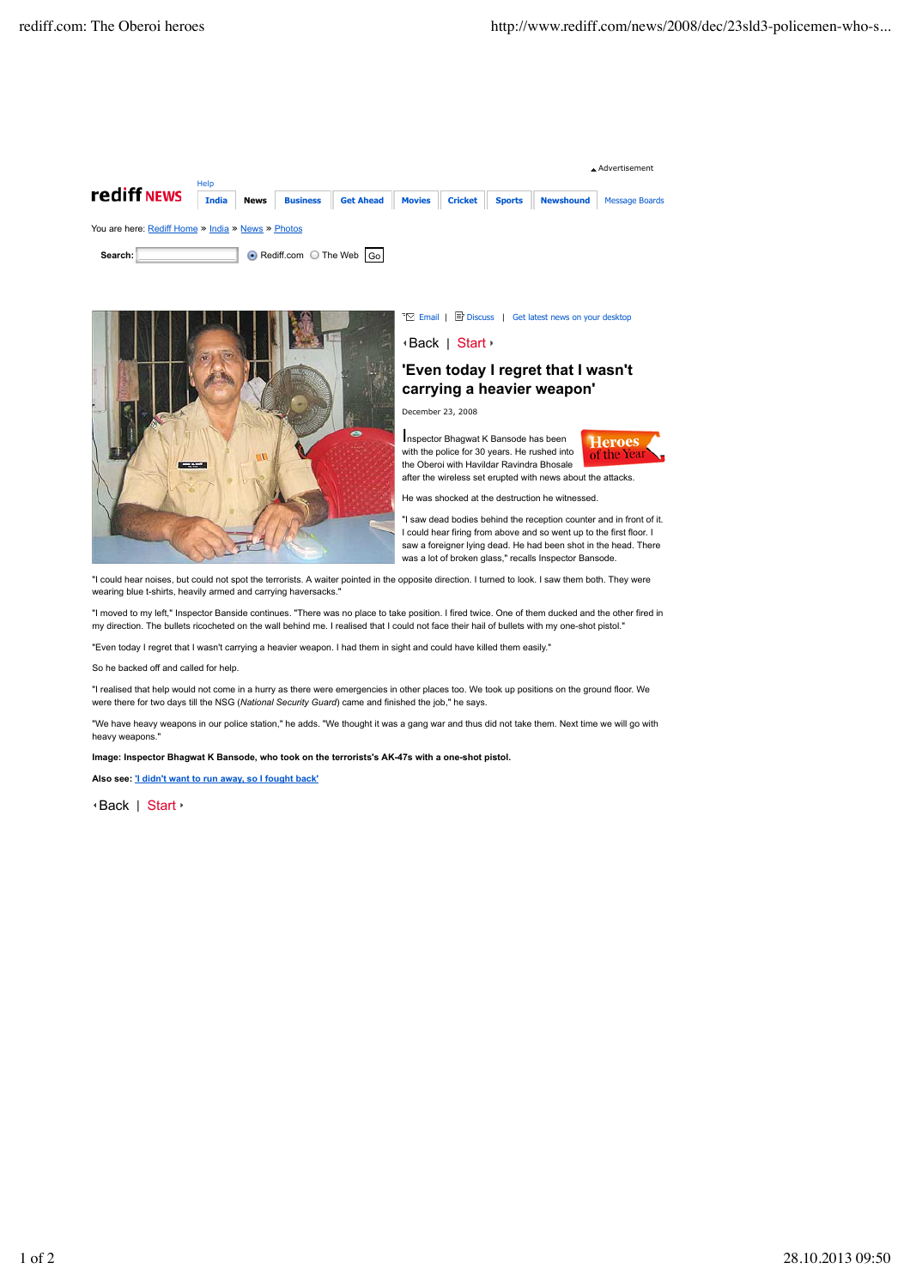



™ Email | ■ Discuss | Get latest news on your desktop

## Back | Start

## **'Even today I regret that I wasn't carrying a heavier weapon'**

December 23, 2008

Inspector Bhagwat K Bansode has been with the police for 30 years. He rushed into the Oberoi with Havildar Ravindra Bhosale after the wireless set erupted with news about the attacks.



He was shocked at the destruction he witnessed.

"I saw dead bodies behind the reception counter and in front of it. I could hear firing from above and so went up to the first floor. I saw a foreigner lying dead. He had been shot in the head. There was a lot of broken glass," recalls Inspector Bansode.

"I could hear noises, but could not spot the terrorists. A waiter pointed in the opposite direction. I turned to look. I saw them both. They were wearing blue t-shirts, heavily armed and carrying haversacks.

"I moved to my left," Inspector Banside continues. "There was no place to take position. I fired twice. One of them ducked and the other fired in my direction. The bullets ricocheted on the wall behind me. I realised that I could not face their hail of bullets with my one-shot pistol."

"Even today I regret that I wasn't carrying a heavier weapon. I had them in sight and could have killed them easily."

So he backed off and called for help.

"I realised that help would not come in a hurry as there were emergencies in other places too. We took up positions on the ground floor. We were there for two days till the NSG (*National Security Guard*) came and finished the job," he says.

"We have heavy weapons in our police station," he adds. "We thought it was a gang war and thus did not take them. Next time we will go with heavy weapons.

**Image: Inspector Bhagwat K Bansode, who took on the terrorists's AK-47s with a one-shot pistol.**

**Also see: 'I didn't want to run away, so I fought back'**

Back | Start